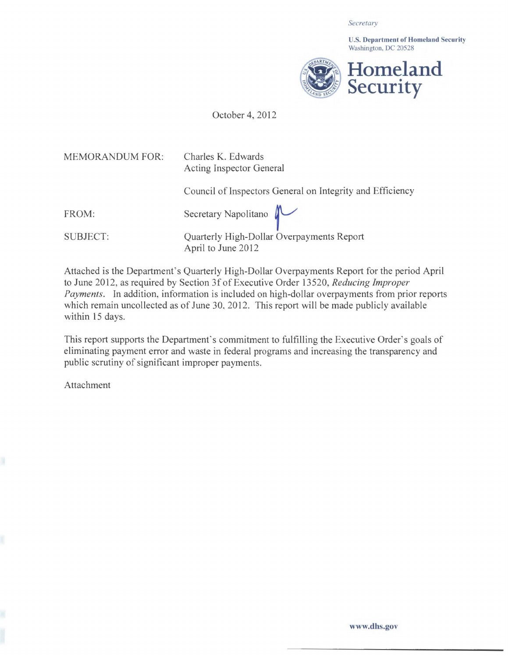*Secretary* 

U.S. Department of Homeland Security Washington, DC 20528



October 4, 2012

| <b>MEMORANDUM FOR:</b> | Charles K. Edwards<br><b>Acting Inspector General</b>           |
|------------------------|-----------------------------------------------------------------|
|                        | Council of Inspectors General on Integrity and Efficiency       |
| FROM:                  | Secretary Napolitano                                            |
| <b>SUBJECT:</b>        | Quarterly High-Dollar Overpayments Report<br>April to June 2012 |

Attached is the Department's Quarterly High-Dollar Overpayments Report for the period April to June 2012, as required by Section 3fofExecutive Order 13520, *Reducing Improper Payments.* In addition, information is included on high-dollar overpayments from prior reports which remain uncollected as of June 30, 2012. This report will be made publicly available within 15 days.

This report supports the Department's commitment to fulfilling the Executive Order's goals of eliminating payment error and waste in federal programs and increasing the transparency and public scrutiny of significant improper payments.

Attachment

<www.dhs.gov>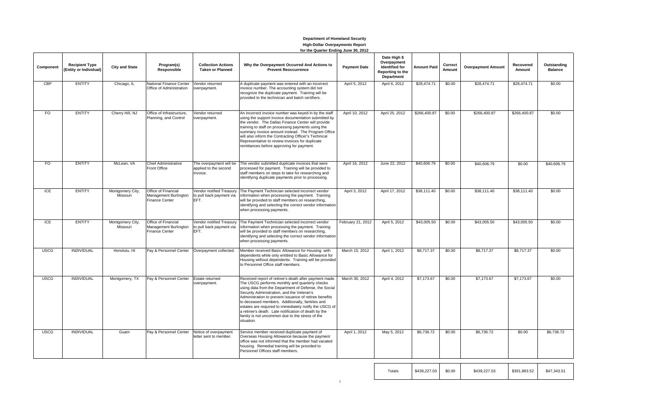#### **High-Dollar Overpayments Report**

|                 |                                                 |                              |                                                                       |                                                              | for the Quarter Ending June 30, 2012                                                                                                                                                                                                                                                                                                                                                                                                                                                                            |                     |                                                                                 |                    |                   |                           |                     |                               |
|-----------------|-------------------------------------------------|------------------------------|-----------------------------------------------------------------------|--------------------------------------------------------------|-----------------------------------------------------------------------------------------------------------------------------------------------------------------------------------------------------------------------------------------------------------------------------------------------------------------------------------------------------------------------------------------------------------------------------------------------------------------------------------------------------------------|---------------------|---------------------------------------------------------------------------------|--------------------|-------------------|---------------------------|---------------------|-------------------------------|
| Component       | <b>Recipient Type</b><br>(Entity or Individual) | <b>City and State</b>        | Program(s)<br>Responsible                                             | <b>Collection Actions</b><br><b>Taken or Planned</b>         | Why the Overpayment Occurred And Actions to<br><b>Prevent Reoccurrence</b>                                                                                                                                                                                                                                                                                                                                                                                                                                      | <b>Payment Date</b> | Date High \$<br>Overpayment<br>Identified for<br>Reporting to the<br>Department | <b>Amount Paid</b> | Correct<br>Amount | <b>Overpayment Amount</b> | Recovered<br>Amount | Outstanding<br><b>Balance</b> |
| CBP             | <b>ENTITY</b>                                   | Chicago, IL                  | National Finance Center<br>Office of Administration                   | Vendor returned<br>overpayment.                              | A duplicate payment was entered with an incorrect<br>invoice number. The accounting system did not<br>recognize the duplicate payment. Training will be<br>provided to the technician and batch certifiers.                                                                                                                                                                                                                                                                                                     | April 5, 2012       | April 6, 2012                                                                   | \$28,474.71        | \$0.00            | \$28,474.71               | \$28,474.71         | \$0.00                        |
| FO <sub>1</sub> | <b>ENTITY</b>                                   | Cherry Hill, NJ              | Office of Infrastructure,<br>Planning, and Control                    | Vendor returned<br>overpayment.                              | An incorrect invoice number was keyed in by the staff<br>using the support invoice documentation submitted by<br>the vendor. The Dallas Finance Center will provide<br>training to staff on processing payments using the<br>summary invoice amount instead. The Program Office<br>will also inform the Contracting Officer's Technical<br>Representative to review invoices for duplicate<br>remittances before approving for payment.                                                                         | April 10, 2012      | April 25, 2012                                                                  | \$266,400.87       | \$0.00            | \$266,400.87              | \$266,400.87        | \$0.00                        |
| <b>FO</b>       | <b>ENTITY</b>                                   | McLean, VA                   | <b>Chief Administrative</b><br><b>Front Office</b>                    | The overpayment will be<br>applied to the second<br>invoice. | The vendor submitted duplicate invoices that were<br>processed for payment. Training will be provided to<br>staff members on steps to take for researching and<br>identifying duplicate payments prior to processing.                                                                                                                                                                                                                                                                                           | April 16, 2012      | June 22, 2012                                                                   | \$40,606.79        | \$0.00            | \$40,606.79               | \$0.00              | \$40,606.79                   |
| ICE             | <b>ENTITY</b>                                   | Montgomery City,<br>Missouri | Office of Financial<br>Management Burlington<br><b>Finance Center</b> | Vendor notified Treasury<br>to pull back payment via<br>EFT. | The Payment Technician selected incorrect vendor<br>information when processing the payment. Training<br>will be provided to staff members on researching,<br>identifying and selecting the correct vendor information<br>when processing payments.                                                                                                                                                                                                                                                             | April 3, 2012       | April 17, 2012                                                                  | \$38,111.40        | \$0.00            | \$38,111.40               | \$38,111.40         | \$0.00                        |
| ICE.            | <b>ENTITY</b>                                   | Montgomery City,<br>Missouri | Office of Financial<br>Management Burlington<br><b>Finance Center</b> | Vendor notified Treasury<br>to pull back payment via<br>EFT. | The Payment Technician selected incorrect vendor<br>information when processing the payment. Training<br>will be provided to staff members on researching,<br>identifying and selecting the correct vendor information<br>when processing payments.                                                                                                                                                                                                                                                             | February 21, 2012   | April 5, 2012                                                                   | \$43,005.50        | \$0.00            | \$43,005.50               | \$43,005.50         | \$0.00                        |
| <b>USCG</b>     | <b>INDIVIDUAL</b>                               | Honolulu, HI                 | Pay & Personnel Center                                                | Overpayment collected.                                       | Member received Basic Allowance for Housing with<br>dependents while only entitled to Basic Allowance for<br>Housing without dependents. Training will be provided<br>to Personnel Office staff members.                                                                                                                                                                                                                                                                                                        | March 15, 2012      | April 1, 2012                                                                   | \$8,717.37         | \$0.00            | \$8,717.37                | \$8,717.37          | \$0.00                        |
| <b>USCG</b>     | <b>INDIVIDUAL</b>                               | Montgomery, TX               | Pay & Personnel Center                                                | Estate returned<br>overpayment.                              | Received report of retiree's death after payment made.<br>The USCG performs monthly and quarterly checks<br>using data from the Department of Defense, the Social<br>Security Administration, and the Veteran's<br>Administration to prevent issuance of retiree benefits<br>to deceased members. Additionally, families and<br>estates are required to immediately notify the USCG of<br>a retiree's death. Late notification of death by the<br>family is not uncommon due to the stress of the<br>situation. | March 30, 2012      | April 4, 2012                                                                   | \$7,173.67         | \$0.00            | \$7,173.67                | \$7,173.67          | \$0.00                        |
| <b>USCG</b>     | <b>INDIVIDUAL</b>                               | Guam                         | Pay & Personnel Center                                                | Notice of overpayment<br>letter sent to member.              | Service member received duplicate payment of<br>Overseas Housing Allowance because the payment<br>office was not informed that the member had vacated<br>housing. Remedial training will be provided to<br>Personnel Offices staff members.                                                                                                                                                                                                                                                                     | April 1, 2012       | May 5, 2012                                                                     | \$6,736.72         | \$0.00            | \$6,736.72                | \$0.00              | \$6,736.72                    |

Totals \$439,227.03 \$0.00 \$439,227.03 \$391,883.52 \$47,343.51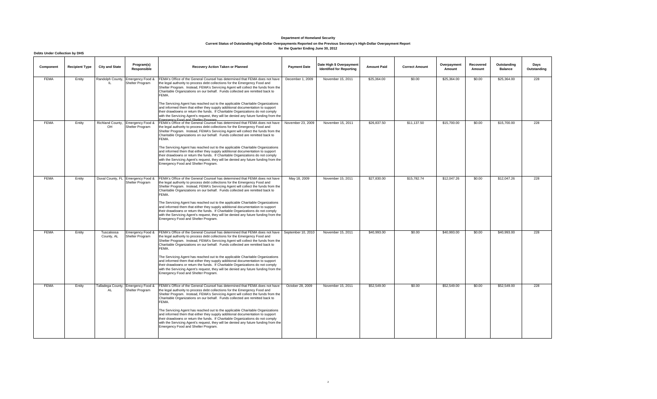# **Current Status of Outstanding High-Dollar Overpayments Reported on the Previous Secretary's High-Dollar Overpayment Report**

**for the Quarter Ending June 30, 2012** 

|  | Debts Under Collection by DHS |  |
|--|-------------------------------|--|

| Depts Under Conection by DHS |                       |                          |                                                      |                                                                                                                                                                                                                                                                                                                                                                                                                                                                                                                                                                                                               |                     |                                                             |                    |                       |                       |                     |                               |                     |
|------------------------------|-----------------------|--------------------------|------------------------------------------------------|---------------------------------------------------------------------------------------------------------------------------------------------------------------------------------------------------------------------------------------------------------------------------------------------------------------------------------------------------------------------------------------------------------------------------------------------------------------------------------------------------------------------------------------------------------------------------------------------------------------|---------------------|-------------------------------------------------------------|--------------------|-----------------------|-----------------------|---------------------|-------------------------------|---------------------|
| Component                    | <b>Recipient Type</b> | <b>City and State</b>    | Program(s)<br>Responsible                            | Recovery Action Taken or Planned                                                                                                                                                                                                                                                                                                                                                                                                                                                                                                                                                                              | <b>Payment Date</b> | Date High \$ Overpayment<br><b>Identified for Reporting</b> | <b>Amount Paid</b> | <b>Correct Amount</b> | Overpayment<br>Amount | Recovered<br>Amount | Outstanding<br><b>Balance</b> | Days<br>Outstanding |
| <b>FEMA</b>                  | Entity                | $\mathbf{u}$             | Randolph County, Emergency Food &<br>Shelter Program | FEMA's Office of the General Counsel has determined that FEMA does not have<br>the legal authority to process debt collections for the Emergency Food and<br>Shelter Program. Instead, FEMA's Servicing Agent will collect the funds from the<br>Charitable Organizations on our behalf. Funds collected are remitted back to<br>FEMA.                                                                                                                                                                                                                                                                        | December 1, 2009    | November 15, 2011                                           | \$25,364.00        | \$0.00                | \$25,364.00           | \$0.00              | \$25,364.00                   | 228                 |
|                              |                       |                          |                                                      | The Servicing Agent has reached out to the applicable Charitable Organizations<br>and informed them that either they supply additional documentation to support<br>their drawdowns or return the funds. If Charitable Organizations do not comply<br>with the Servicing Agent's request, they will be denied any future funding from the<br>Emergency Food and Shelter Program                                                                                                                                                                                                                                |                     |                                                             |                    |                       |                       |                     |                               |                     |
| <b>FEMA</b>                  | Entity                | Richland County,<br>OH   | Emergency Food &<br>Shelter Program                  | FEMA's Office of the General Counsel has determined that FEMA does not have November 23, 2009<br>the legal authority to process debt collections for the Emergency Food and<br>Shelter Program. Instead, FEMA's Servicing Agent will collect the funds from the<br>Charitable Organizations on our behalf. Funds collected are remitted back to<br>FEMA.<br>The Servicing Agent has reached out to the applicable Charitable Organizations<br>and informed them that either they supply additional documentation to support<br>their drawdowns or return the funds. If Charitable Organizations do not comply |                     | November 15, 2011                                           | \$26,837.50        | \$11,137.50           | \$15,700.00           | \$0.00              | \$15,700.00                   | 228                 |
|                              |                       |                          |                                                      | with the Servicing Agent's request, they will be denied any future funding from the<br>Emergency Food and Shelter Program.                                                                                                                                                                                                                                                                                                                                                                                                                                                                                    |                     |                                                             |                    |                       |                       |                     |                               |                     |
| <b>FEMA</b>                  | Entity                |                          | Duval County, FL Emergency Food &<br>Shelter Program | FEMA's Office of the General Counsel has determined that FEMA does not have<br>the legal authority to process debt collections for the Emergency Food and<br>Shelter Program. Instead, FEMA's Servicing Agent will collect the funds from the<br>Charitable Organizations on our behalf. Funds collected are remitted back to<br>FEMA.                                                                                                                                                                                                                                                                        | May 18, 2009        | November 15, 2011                                           | \$27,830,00        | \$15,782.74           | \$12,047.26           | \$0.00              | \$12,047.26                   | 228                 |
|                              |                       |                          |                                                      | The Servicing Agent has reached out to the applicable Charitable Organizations<br>and informed them that either they supply additional documentation to support<br>their drawdowns or return the funds. If Charitable Organizations do not comply<br>with the Servicing Agent's request, they will be denied any future funding from the<br>Emergency Food and Shelter Program.                                                                                                                                                                                                                               |                     |                                                             |                    |                       |                       |                     |                               |                     |
| <b>FEMA</b>                  | Entity                | Tuscaloosa<br>County, AL | Emergency Food &<br>Shelter Program                  | FEMA's Office of the General Counsel has determined that FEMA does not have   September 10, 2010<br>the legal authority to process debt collections for the Emergency Food and<br>Shelter Program. Instead, FEMA's Servicing Agent will collect the funds from the<br>Charitable Organizations on our behalf. Funds collected are remitted back to<br>FEMA.                                                                                                                                                                                                                                                   |                     | November 15, 2011                                           | \$40,993.00        | \$0.00                | \$40,993.00           | \$0.00              | \$40,993.00                   | 228                 |
|                              |                       |                          |                                                      | The Servicing Agent has reached out to the applicable Charitable Organizations<br>and informed them that either they supply additional documentation to support<br>their drawdowns or return the funds. If Charitable Organizations do not comply<br>with the Servicing Agent's request, they will be denied any future funding from the<br>Emergency Food and Shelter Program.                                                                                                                                                                                                                               |                     |                                                             |                    |                       |                       |                     |                               |                     |
| <b>FEMA</b>                  | Entity                | <b>AL</b>                | Shelter Program                                      | Talladega County, Emergency Food & FEMA's Office of the General Counsel has determined that FEMA does not have<br>the legal authority to process debt collections for the Emergency Food and<br>Shelter Program. Instead, FEMA's Servicing Agent will collect the funds from the<br>Charitable Organizations on our behalf. Funds collected are remitted back to<br>FEMA.                                                                                                                                                                                                                                     | October 28, 2009    | November 15, 2011                                           | \$52,549.00        | \$0.00                | \$52,549.00           | \$0.00              | \$52,549.00                   | 228                 |
|                              |                       |                          |                                                      | The Servicing Agent has reached out to the applicable Charitable Organizations<br>and informed them that either they supply additional documentation to support<br>their drawdowns or return the funds. If Charitable Organizations do not comply<br>with the Servicing Agent's request, they will be denied any future funding from the<br>Emergency Food and Shelter Program.                                                                                                                                                                                                                               |                     |                                                             |                    |                       |                       |                     |                               |                     |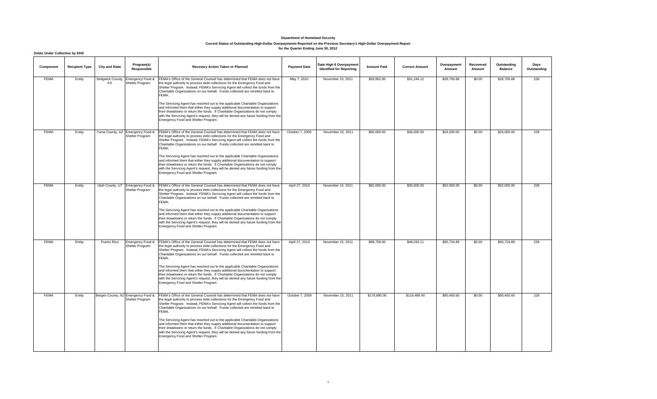# **Current Status of Outstanding High-Dollar Overpayments Reported on the Previous Secretary's High-Dollar Overpayment Report for the Quarter Ending June 30, 2012**

| <b>Debts Under Collection by DHS</b> |                                                                                                                                                                                                    |                       |                                                                                                                                                                                                                                                                                                                                                                                                                                                                                                                                                                                             |                                                                                                                                                                                                                                                                                                                                                                                                                                                                                                                                                                                                                                                                                                                           |                     |                                                             |                    |                       |                       |                     |                               |                     |
|--------------------------------------|----------------------------------------------------------------------------------------------------------------------------------------------------------------------------------------------------|-----------------------|---------------------------------------------------------------------------------------------------------------------------------------------------------------------------------------------------------------------------------------------------------------------------------------------------------------------------------------------------------------------------------------------------------------------------------------------------------------------------------------------------------------------------------------------------------------------------------------------|---------------------------------------------------------------------------------------------------------------------------------------------------------------------------------------------------------------------------------------------------------------------------------------------------------------------------------------------------------------------------------------------------------------------------------------------------------------------------------------------------------------------------------------------------------------------------------------------------------------------------------------------------------------------------------------------------------------------------|---------------------|-------------------------------------------------------------|--------------------|-----------------------|-----------------------|---------------------|-------------------------------|---------------------|
| Component                            | <b>Recipient Type</b>                                                                                                                                                                              | <b>City and State</b> | Program(s)<br>Responsible                                                                                                                                                                                                                                                                                                                                                                                                                                                                                                                                                                   | Recovery Action Taken or Planned                                                                                                                                                                                                                                                                                                                                                                                                                                                                                                                                                                                                                                                                                          | <b>Payment Date</b> | Date High \$ Overpayment<br><b>Identified for Reporting</b> | <b>Amount Paid</b> | <b>Correct Amount</b> | Overpayment<br>Amount | Recovered<br>Amount | Outstanding<br><b>Balance</b> | Days<br>Outstanding |
| <b>FEMA</b>                          | Entity<br>Sedgwick County, Emergency Food &<br>KS<br>Shelter Program<br>the legal authority to process debt collections for the Emergency Food and<br>FEMA.<br>Emergency Food and Shelter Program. |                       | FEMA's Office of the General Counsel has determined that FEMA does not have<br>Shelter Program, Instead, FEMA's Servicing Agent will collect the funds from the<br>Charitable Organizations on our behalf. Funds collected are remitted back to<br>The Servicing Agent has reached out to the applicable Charitable Organizations<br>and informed them that either they supply additional documentation to support<br>their drawdowns or return the funds. If Charitable Organizations do not comply<br>with the Servicing Agent's request, they will be denied any future funding from the | May 7, 2010                                                                                                                                                                                                                                                                                                                                                                                                                                                                                                                                                                                                                                                                                                               | November 15, 2011   | \$59,952.00                                                 | \$31,246.12        | \$28,705.88           | \$0.00                | \$28,705.88         | 228                           |                     |
| <b>FEMA</b>                          | Entity                                                                                                                                                                                             |                       | Yuma County, AZ Emergency Food &<br>Shelter Program                                                                                                                                                                                                                                                                                                                                                                                                                                                                                                                                         | FEMA's Office of the General Counsel has determined that FEMA does not have<br>the legal authority to process debt collections for the Emergency Food and<br>Shelter Program. Instead, FEMA's Servicing Agent will collect the funds from the<br>Charitable Organizations on our behalf. Funds collected are remitted back to<br>FEMA.<br>The Servicing Agent has reached out to the applicable Charitable Organizations<br>and informed them that either they supply additional documentation to support<br>their drawdowns or return the funds. If Charitable Organizations do not comply<br>with the Servicing Agent's request, they will be denied any future funding from the<br>Emergency Food and Shelter Program. | October 7, 2009     | November 15, 2011                                           | \$60,000,00        | \$36,000.00           | \$24,000.00           | \$0.00              | \$24,000.00                   | 228                 |
| <b>FEMA</b>                          | Entity                                                                                                                                                                                             |                       | Utah County, UT Emergency Food &<br>Shelter Program                                                                                                                                                                                                                                                                                                                                                                                                                                                                                                                                         | FEMA's Office of the General Counsel has determined that FEMA does not have<br>the legal authority to process debt collections for the Emergency Food and<br>Shelter Program. Instead, FEMA's Servicing Agent will collect the funds from the<br>Charitable Organizations on our behalf. Funds collected are remitted back to<br>FEMA.<br>The Servicing Agent has reached out to the applicable Charitable Organizations<br>and informed them that either they supply additional documentation to support<br>their drawdowns or return the funds. If Charitable Organizations do not comply<br>with the Servicing Agent's request, they will be denied any future funding from the<br>Emergency Food and Shelter Program. | April 27, 2010      | November 15, 2011                                           | \$82,000.00        | \$30,000.00           | \$52,000.00           | \$0.00              | \$52,000.00                   | 228                 |
| <b>FEMA</b>                          | Entity                                                                                                                                                                                             | Puerto Rico           | Emergency Food &<br>Shelter Program                                                                                                                                                                                                                                                                                                                                                                                                                                                                                                                                                         | FEMA's Office of the General Counsel has determined that FEMA does not have<br>the legal authority to process debt collections for the Emergency Food and<br>Shelter Program. Instead, FEMA's Servicing Agent will collect the funds from the<br>Charitable Organizations on our behalf. Funds collected are remitted back to<br>FEMA.<br>The Servicing Agent has reached out to the applicable Charitable Organizations<br>and informed them that either they supply additional documentation to support<br>their drawdowns or return the funds. If Charitable Organizations do not comply<br>with the Servicing Agent's request, they will be denied any future funding from the<br>Emergency Food and Shelter Program. | April 27, 2010      | November 15, 2011                                           | \$98,758.00        | \$48,033.11           | \$50,724.89           | \$0.00              | \$50,724.89                   | 228                 |
| <b>FEMA</b>                          | Entity                                                                                                                                                                                             |                       | Bergen County, NJ Emergency Food &<br>Shelter Program                                                                                                                                                                                                                                                                                                                                                                                                                                                                                                                                       | FEMA's Office of the General Counsel has determined that FEMA does not have<br>the legal authority to process debt collections for the Emergency Food and<br>Shelter Program. Instead, FEMA's Servicing Agent will collect the funds from the<br>Charitable Organizations on our behalf. Funds collected are remitted back to<br>FEMA.<br>The Servicing Agent has reached out to the applicable Charitable Organizations<br>and informed them that either they supply additional documentation to support<br>their drawdowns or return the funds. If Charitable Organizations do not comply<br>with the Servicing Agent's request, they will be denied any future funding from the<br>Emergency Food and Shelter Program. | October 7, 2009     | November 15, 2011                                           | \$178,890.00       | \$118,489.40          | \$60,400.60           | \$0.00              | \$60,400.60                   | 228                 |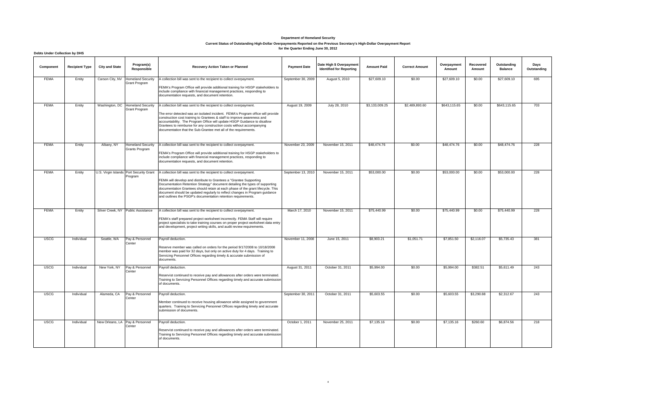# **Current Status of Outstanding High-Dollar Overpayments Reported on the Previous Secretary's High-Dollar Overpayment Report**

**for the Quarter Ending June 30, 2012** 

| <b>Debts Under Collection by DHS</b> |                       |                       |                                                    |                                                                                                                                                                                                                                                                                                                                                                                                                                                              |                     |                                                             |                    |                       |                       |                     |                               |                     |
|--------------------------------------|-----------------------|-----------------------|----------------------------------------------------|--------------------------------------------------------------------------------------------------------------------------------------------------------------------------------------------------------------------------------------------------------------------------------------------------------------------------------------------------------------------------------------------------------------------------------------------------------------|---------------------|-------------------------------------------------------------|--------------------|-----------------------|-----------------------|---------------------|-------------------------------|---------------------|
| Component                            | <b>Recipient Type</b> | <b>City and State</b> | Program(s)<br>Responsible                          | Recovery Action Taken or Planned                                                                                                                                                                                                                                                                                                                                                                                                                             | <b>Payment Date</b> | Date High \$ Overpayment<br><b>Identified for Reporting</b> | <b>Amount Paid</b> | <b>Correct Amount</b> | Overpayment<br>Amount | Recovered<br>Amount | Outstanding<br><b>Balance</b> | Days<br>Outstanding |
| <b>FEMA</b>                          | Entity                |                       | Carson City, NV Homeland Security<br>Grant Program | A collection bill was sent to the recipient to collect overpayment.<br>FEMA's Program Office will provide additional training for HSGP stakeholders to<br>include compliance with financial management practices, responding to<br>documentation requests, and document retention.                                                                                                                                                                           | September 30, 2009  | August 5, 2010                                              | \$27,609.10        | \$0.00                | \$27,609.10           | \$0.00              | \$27,609.10                   | 695                 |
| <b>FEMA</b>                          | Entity                |                       | Washington, DC Homeland Security<br>Grant Program  | A collection bill was sent to the recipient to collect overpayment.<br>The error detected was an isolated incident. FEMA's Program office will provide<br>construction cost training to Grantees & staff to improve awareness and<br>accountability. The Program Office will update HSGP Guidance to disallow<br>Grantees to reimburse for any construction costs without accompanying<br>documentation that the Sub-Grantee met all of the requirements.    | August 19, 2009     | July 28, 2010                                               | \$3,133,009.25     | \$2,489,893.60        | \$643,115.65          | \$0.00              | \$643,115.65                  | 703                 |
| <b>FEMA</b>                          | Entity                | Albany, NY            | <b>Homeland Security</b><br>Grants Program         | A collection bill was sent to the recipient to collect overpayment.<br>FEMA's Program Office will provide additional training for HSGP stakeholders to<br>include compliance with financial management practices, responding to<br>documentation requests, and document retention.                                                                                                                                                                           | November 23, 2009   | November 15, 2011                                           | \$48,474.76        | \$0.00                | \$48,474.76           | \$0.00              | \$48,474.76                   | 228                 |
| <b>FEMA</b>                          | Entity                |                       | U.S. Virgin Islands Port Security Grant<br>Program | A collection bill was sent to the recipient to collect overpayment.<br>FEMA will develop and distribute to Grantees a "Grantee Supporting<br>Documentation Retention Strategy" document detailing the types of supporting<br>documentation Grantees should retain at each phase of the grant lifecycle. This<br>document should be updated regularly to reflect changes in Program guidance<br>and outlines the PSGP's documentation retention requirements. | September 13, 2010  | November 15, 2011                                           | \$53,000.00        | \$0.00                | \$53,000.00           | \$0.00              | \$53,000.00                   | 228                 |
| <b>FEMA</b>                          | Entity                |                       | Silver Creek, NY Public Assistance                 | A collection bill was sent to the recipient to collect overpayment.<br>FEMA's staff prepared project worksheet incorrectly. FEMA Staff will require<br>project specialists to take training courses on proper project worksheet data entry<br>and development, project writing skills, and audit review requirements.                                                                                                                                        | March 17, 2010      | November 15, 2011                                           | \$75,440.99        | \$0.00                | \$75,440.99           | \$0.00              | \$75,440.99                   | 228                 |
| <b>USCG</b>                          | Individual            | Seattle, WA           | Pay & Personnel<br>Center                          | Payroll deduction.<br>Reserve member was called on orders for the period 9/17/2008 to 10/18/2008<br>member was paid for 32 days, but only on active duty for 4 days. Training to<br>Servicing Personnel Offices regarding timely & accurate submission of<br>documents.                                                                                                                                                                                      | November 11, 2008   | June 15, 2011                                               | \$8,903.21         | \$1,051.71            | \$7,851.50            | \$2,116.07          | \$5,735.43                    | 381                 |
| <b>USCG</b>                          | Individual            | New York, NY          | Pay & Personnel<br>Center                          | Payroll deduction.<br>Reservist continued to receive pay and allowances after orders were terminated.<br>Training to Servicing Personnel Offices regarding timely and accurate submission<br>of documents.                                                                                                                                                                                                                                                   | August 31, 2011     | October 31, 2011                                            | \$5,994.00         | \$0.00                | \$5,994.00            | \$382.51            | \$5,611.49                    | 243                 |
| <b>USCG</b>                          | Individual            | Alameda, CA           | Pay & Personnel<br>Center                          | Payroll deduction.<br>Member continued to receive housing allowance while assigned to government<br>quarters. Training to Servicing Personnel Offices regarding timely and accurate<br>submission of documents.                                                                                                                                                                                                                                              | September 30, 2011  | October 31, 2011                                            | \$5,603.55         | \$0.00                | \$5,603.55            | \$3,290.88          | \$2,312.67                    | 243                 |
| <b>USCG</b>                          | Individual            |                       | New Orleans, LA Pay & Personnel<br>Center          | Payroll deduction.<br>Reservist continued to receive pay and allowances after orders were terminated.<br>Training to Servicing Personnel Offices regarding timely and accurate submission<br>of documents.                                                                                                                                                                                                                                                   | October 1, 2011     | November 25, 2011                                           | \$7,135.16         | \$0.00                | \$7,135.16            | \$260.60            | \$6,874.56                    | 218                 |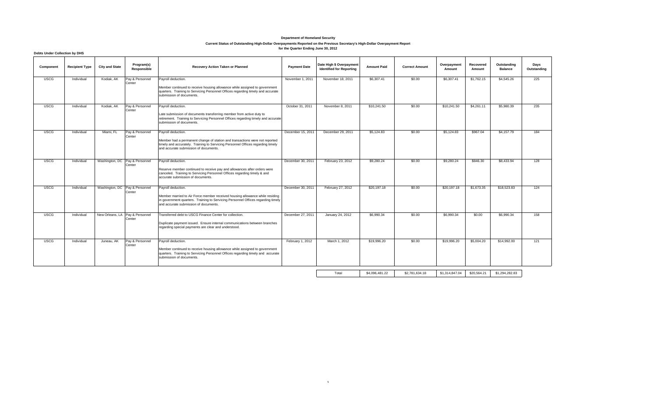# **Current Status of Outstanding High-Dollar Overpayments Reported on the Previous Secretary's High-Dollar Overpayment Report for the Quarter Ending June 30, 2012**

| <b>Debts Under Collection by DHS</b> |                       |                       |                                           |                                                                                                                                                                                                                                 |                     |                                                             |                    |                       |                       |                     |                               |                     |
|--------------------------------------|-----------------------|-----------------------|-------------------------------------------|---------------------------------------------------------------------------------------------------------------------------------------------------------------------------------------------------------------------------------|---------------------|-------------------------------------------------------------|--------------------|-----------------------|-----------------------|---------------------|-------------------------------|---------------------|
| Component                            | <b>Recipient Type</b> | <b>City and State</b> | Program(s)<br>Responsible                 | Recovery Action Taken or Planned                                                                                                                                                                                                | <b>Payment Date</b> | Date High \$ Overpayment<br><b>Identified for Reporting</b> | <b>Amount Paid</b> | <b>Correct Amount</b> | Overpayment<br>Amount | Recovered<br>Amount | Outstanding<br><b>Balance</b> | Days<br>Outstanding |
| <b>USCG</b>                          | Individual            | Kodiak, AK            | Pay & Personnel<br>Center                 | Payroll deduction.<br>Member continued to receive housing allowance while assigned to government<br>quarters. Training to Servicing Personnel Offices regarding timely and accurate<br>submission of documents.                 | November 1, 2011    | November 18, 2011                                           | \$6,307.41         | \$0.00                | \$6,307.41            | \$1,762.15          | \$4,545.26                    | 225                 |
| <b>USCG</b>                          | Individual            | Kodiak, AK            | Pay & Personnel<br>Center                 | Payroll deduction.<br>Late submission of documents transferring member from active duty to<br>retirement. Training to Servicing Personnel Offices regarding timely and accurate<br>submission of documents.                     | October 31, 2011    | November 8, 2011                                            | \$10,241.50        | \$0.00                | \$10,241.50           | \$4,261.11          | \$5,980.39                    | 235                 |
| <b>USCG</b>                          | Individual            | Miami, FL             | Pay & Personnel<br>Center                 | Payroll deduction.<br>Member had a permanent change of station and transactions were not reported<br>timely and accurately. Training to Servicing Personnel Offices regarding timely<br>and accurate submission of documents.   | December 15, 2011   | December 29, 2011                                           | \$5,124.83         | \$0.00                | \$5,124.83            | \$967.04            | \$4,157.79                    | 184                 |
| <b>USCG</b>                          | Individual            |                       | Washington, DC Pay & Personnel<br>Center  | Payroll deduction.<br>Reserve member continued to receive pay and allowances after orders were<br>canceled. Training to Servicing Personnel Offices regarding timely & and<br>accurate submission of documents.                 | December 30, 2011   | February 23, 2012                                           | \$9,280.24         | \$0.00                | \$9,280.24            | \$846.30            | \$8,433.94                    | 128                 |
| <b>USCG</b>                          | Individual            |                       | Washington, DC Pay & Personnel<br>Center  | Payroll deduction.<br>Member married to Air Force member received housing allowance while residing<br>in government quarters. Training to Servicing Personnel Offices regarding timely<br>and accurate submission of documents. | December 30, 2011   | February 27, 2012                                           | \$20,197.18        | \$0.00                | \$20,197.18           | \$1,673.35          | \$18,523.83                   | 124                 |
| <b>USCG</b>                          | Individual            |                       | New Orleans, LA Pay & Personnel<br>Center | Transferred debt to USCG Finance Center for collection.<br>Duplicate payment issued. Ensure internal communications between branches<br>regarding special payments are clear and understood.                                    | December 27, 2011   | January 24, 2012                                            | \$6,990.34         | \$0.00                | \$6,990.34            | \$0.00              | \$6,990.34                    | 158                 |
| <b>USCG</b>                          | Individual            | Juneau, AK            | Pay & Personnel<br>Center                 | Payroll deduction.<br>Member continued to receive housing allowance while assigned to government<br>quarters. Training to Servicing Personnel Offices regarding timely and accurate<br>submission of documents.                 | February 1, 2012    | March 1, 2012                                               | \$19,996.20        | \$0.00                | \$19,996.20           | \$5,004.20          | \$14,992.00                   | 121                 |
|                                      |                       |                       |                                           |                                                                                                                                                                                                                                 |                     | Total                                                       | \$4,096,481.22     | \$2,781,634.18        | \$1,314,847.04        | \$20,564.21         | \$1,294,282.83                |                     |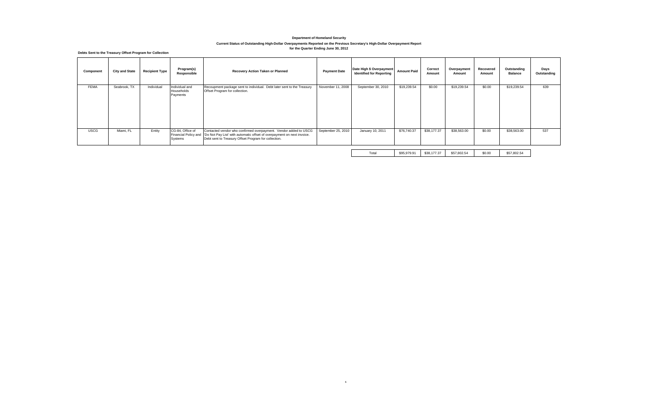# **Current Status of Outstanding High-Dollar Overpayments Reported on the Previous Secretary's High-Dollar Overpayment Report for the Quarter Ending June 30, 2012**

**Debts Sent to the Treasury Offset Program for Collection**

| <b>FEMA</b><br>Seabrook, TX<br>Individual and<br>\$19,239.54<br>\$0.00<br>\$0.00<br>639<br>Individual<br>Recoupment package sent to individual. Debt later sent to the Treasury<br>November 11, 2008<br>\$19,239.54<br>\$19,239.54<br>September 30, 2010<br>Offset Program for collection.<br>Households<br>Payments<br><b>USCG</b><br>\$38,177.37<br>\$0.00<br>537<br>Miami, FL<br>Entity<br>CG-84. Office of<br>\$76,740.37<br>\$38,563.00<br>\$38,563.00<br>Contacted vendor who confirmed overpayment. Vendor added to USCG<br>September 25, 2010<br>January 10, 2011<br>Financial Policy and   'Do Not Pay List' with automatic offset of overpayment on next invoice.<br>Debt sent to Treasury Offset Program for collection.<br>Systems | Component | <b>City and State</b> | <b>Recipient Type</b> | Program(s)<br>Responsible | Recovery Action Taken or Planned | <b>Payment Date</b> | Date High \$ Overpayment<br><b>Identified for Reporting</b> | <b>Amount Paid</b> | Correct<br>Amount | Overpayment<br>Amount | Recovered<br>Amount | Outstanding<br><b>Balance</b> | Days<br>Outstanding |
|------------------------------------------------------------------------------------------------------------------------------------------------------------------------------------------------------------------------------------------------------------------------------------------------------------------------------------------------------------------------------------------------------------------------------------------------------------------------------------------------------------------------------------------------------------------------------------------------------------------------------------------------------------------------------------------------------------------------------------------------|-----------|-----------------------|-----------------------|---------------------------|----------------------------------|---------------------|-------------------------------------------------------------|--------------------|-------------------|-----------------------|---------------------|-------------------------------|---------------------|
|                                                                                                                                                                                                                                                                                                                                                                                                                                                                                                                                                                                                                                                                                                                                                |           |                       |                       |                           |                                  |                     |                                                             |                    |                   |                       |                     |                               |                     |
|                                                                                                                                                                                                                                                                                                                                                                                                                                                                                                                                                                                                                                                                                                                                                |           |                       |                       |                           |                                  |                     |                                                             |                    |                   |                       |                     |                               |                     |

Total \$95,979.91 \$38,177.37 \$57,802.54 \$0.00 \$57,802.54